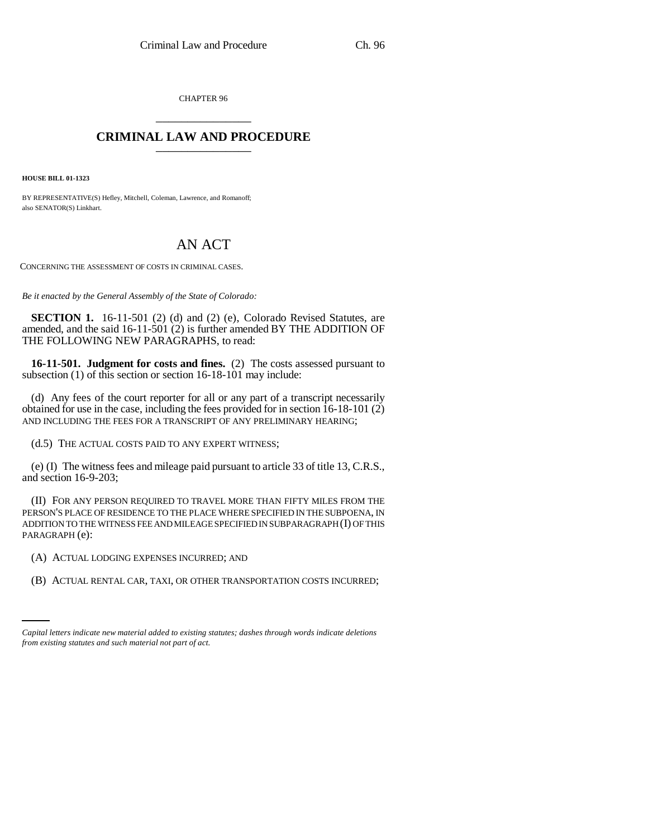CHAPTER 96 \_\_\_\_\_\_\_\_\_\_\_\_\_\_\_

## **CRIMINAL LAW AND PROCEDURE** \_\_\_\_\_\_\_\_\_\_\_\_\_\_\_

**HOUSE BILL 01-1323**

BY REPRESENTATIVE(S) Hefley, Mitchell, Coleman, Lawrence, and Romanoff; also SENATOR(S) Linkhart.

## AN ACT

CONCERNING THE ASSESSMENT OF COSTS IN CRIMINAL CASES.

*Be it enacted by the General Assembly of the State of Colorado:*

**SECTION 1.** 16-11-501 (2) (d) and (2) (e), Colorado Revised Statutes, are amended, and the said 16-11-501 (2) is further amended BY THE ADDITION OF THE FOLLOWING NEW PARAGRAPHS, to read:

**16-11-501. Judgment for costs and fines.** (2) The costs assessed pursuant to subsection (1) of this section or section 16-18-101 may include:

(d) Any fees of the court reporter for all or any part of a transcript necessarily obtained for use in the case, including the fees provided for in section 16-18-101 (2) AND INCLUDING THE FEES FOR A TRANSCRIPT OF ANY PRELIMINARY HEARING;

(d.5) THE ACTUAL COSTS PAID TO ANY EXPERT WITNESS;

(e) (I) The witness fees and mileage paid pursuant to article 33 of title 13, C.R.S., and section 16-9-203;

(II) FOR ANY PERSON REQUIRED TO TRAVEL MORE THAN FIFTY MILES FROM THE PERSON'S PLACE OF RESIDENCE TO THE PLACE WHERE SPECIFIED IN THE SUBPOENA, IN ADDITION TO THE WITNESS FEE AND MILEAGE SPECIFIED IN SUBPARAGRAPH (I) OF THIS PARAGRAPH (e):

(A) ACTUAL LODGING EXPENSES INCURRED; AND

(B) ACTUAL RENTAL CAR, TAXI, OR OTHER TRANSPORTATION COSTS INCURRED;

*Capital letters indicate new material added to existing statutes; dashes through words indicate deletions from existing statutes and such material not part of act.*